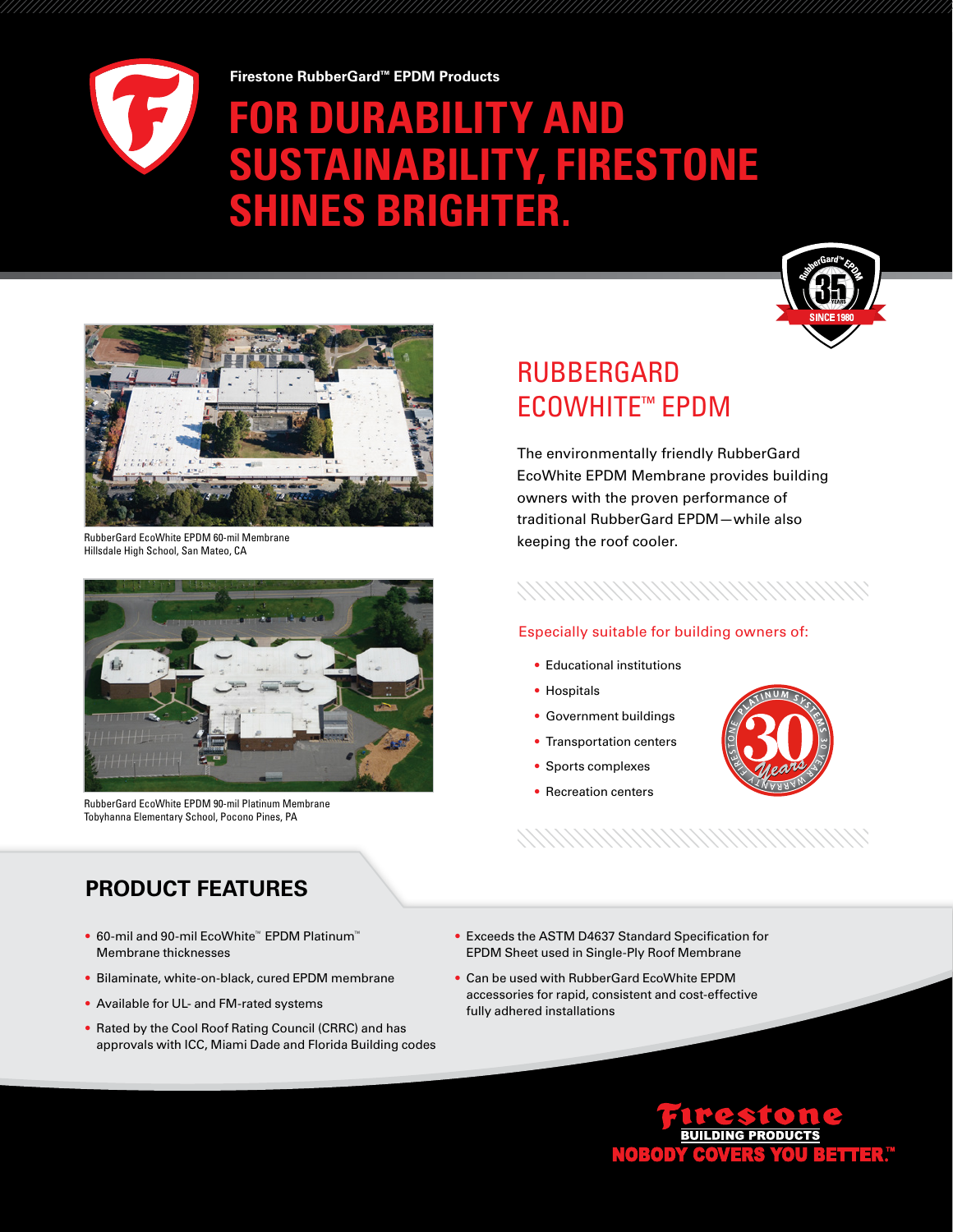

**Firestone RubberGard™ EPDM Products** 

# **BILITY AND USTAINABILITY, FIRESTONE SHINES BRIGHTER.**





RubberGard EcoWhite EPDM 60-mil Membrane Hillsdale High School, San Mateo, CA



RubberGard EcoWhite EPDM 90-mil Platinum Membrane Tobyhanna Elementary School, Pocono Pines, PA

# RUBBERGARD ECOWHITE™ EPDM

The environmentally friendly RubberGard EcoWhite EPDM Membrane provides building owners with the proven performance of traditional RubberGard EPDM—while also keeping the roof cooler.

### Especially suitable for building owners of:

- Educational institutions
- Hospitals
- Government buildings
- Transportation centers
- Sports complexes
- Recreation centers



## **PRODUCT FEATURES**

- 60-mil and 90-mil EcoWhite™ EPDM Platinum™ Membrane thicknesses
- Bilaminate, white-on-black, cured EPDM membrane
- Available for UL- and FM-rated systems
- Rated by the Cool Roof Rating Council (CRRC) and has approvals with ICC, Miami Dade and Florida Building codes
- Exceeds the ASTM D4637 Standard Specification for EPDM Sheet used in Single-Ply Roof Membrane
- Can be used with RubberGard EcoWhite EPDM accessories for rapid, consistent and cost-effective fully adhered installations